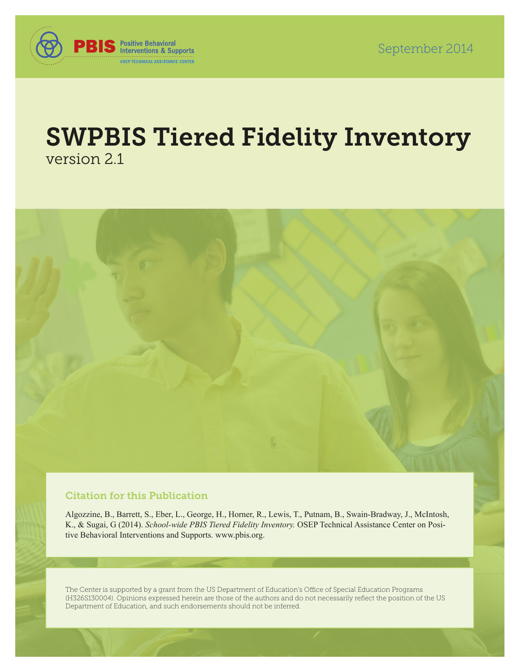

# SWPBIS Tiered Fidelity Inventory version 2.1



### Citation for this Publication

Algozzine, B., Barrett, S., Eber, L., George, H., Horner, R., Lewis, T., Putnam, B., Swain-Bradway, J., McIntosh, K., & Sugai, G (2014). *School-wide PBIS Tiered Fidelity Inventory.* OSEP Technical Assistance Center on Positive Behavioral Interventions and Supports. [www.pbis.org.](http://www.pbis.org)

The Center is supported by a grant from the US Department of Education's Office of Special Education Programs (H326S130004). Opinions expressed herein are those of the authors and do not necessarily reflect the position of the US Department of Education, and such endorsements should not be inferred.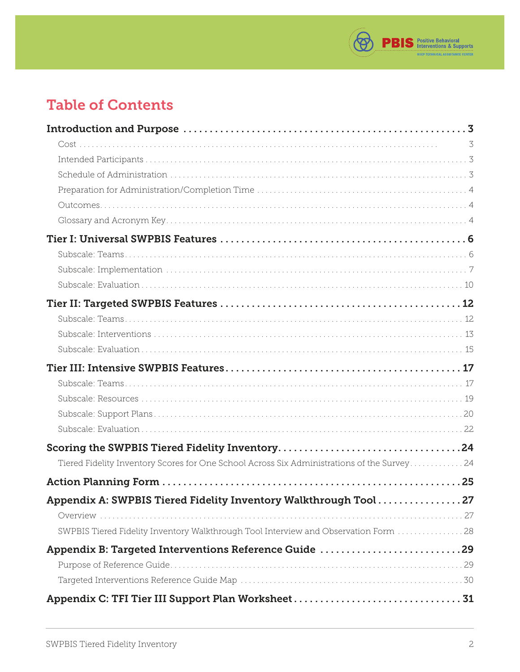

# Table of Contents

|                                                                                             | 3 |
|---------------------------------------------------------------------------------------------|---|
|                                                                                             |   |
|                                                                                             |   |
|                                                                                             |   |
|                                                                                             |   |
|                                                                                             |   |
|                                                                                             |   |
|                                                                                             |   |
|                                                                                             |   |
|                                                                                             |   |
|                                                                                             |   |
|                                                                                             |   |
|                                                                                             |   |
|                                                                                             |   |
|                                                                                             |   |
|                                                                                             |   |
|                                                                                             |   |
|                                                                                             |   |
|                                                                                             |   |
|                                                                                             |   |
| Tiered Fidelity Inventory Scores for One School Across Six Administrations of the Survey 24 |   |
|                                                                                             |   |
| Appendix A: SWPBIS Tiered Fidelity Inventory Walkthrough Tool27                             |   |
|                                                                                             |   |
| SWPBIS Tiered Fidelity Inventory Walkthrough Tool Interview and Observation Form  28        |   |
| Appendix B: Targeted Interventions Reference Guide 29                                       |   |
|                                                                                             |   |
|                                                                                             |   |
|                                                                                             |   |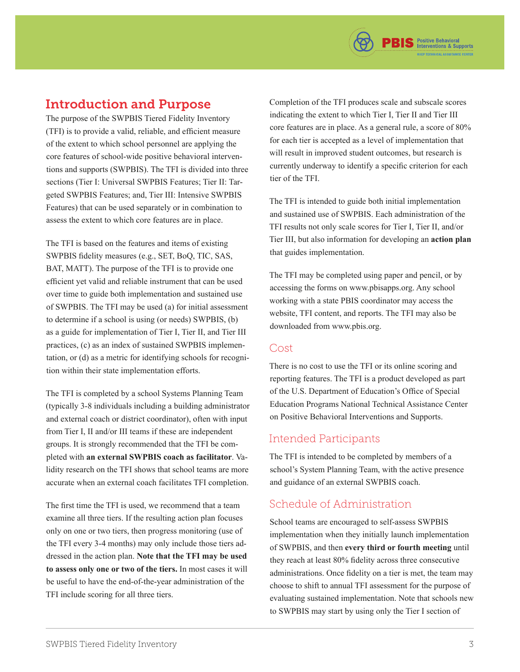# <span id="page-2-0"></span>Introduction and Purpose

The purpose of the SWPBIS Tiered Fidelity Inventory (TFI) is to provide a valid, reliable, and efficient measure of the extent to which school personnel are applying the core features of school-wide positive behavioral interventions and supports (SWPBIS). The TFI is divided into three sections (Tier I: Universal SWPBIS Features; Tier II: Targeted SWPBIS Features; and, Tier III: Intensive SWPBIS Features) that can be used separately or in combination to assess the extent to which core features are in place.

The TFI is based on the features and items of existing SWPBIS fidelity measures (e.g., SET, BoQ, TIC, SAS, BAT, MATT). The purpose of the TFI is to provide one efficient yet valid and reliable instrument that can be used over time to guide both implementation and sustained use of SWPBIS. The TFI may be used (a) for initial assessment to determine if a school is using (or needs) SWPBIS, (b) as a guide for implementation of Tier I, Tier II, and Tier III practices, (c) as an index of sustained SWPBIS implementation, or (d) as a metric for identifying schools for recognition within their state implementation efforts.

The TFI is completed by a school Systems Planning Team (typically 3-8 individuals including a building administrator and external coach or district coordinator), often with input from Tier I, II and/or III teams if these are independent groups. It is strongly recommended that the TFI be completed with **an external SWPBIS coach as facilitator**. Validity research on the TFI shows that school teams are more accurate when an external coach facilitates TFI completion.

The first time the TFI is used, we recommend that a team examine all three tiers. If the resulting action plan focuses only on one or two tiers, then progress monitoring (use of the TFI every 3-4 months) may only include those tiers addressed in the action plan. **Note that the TFI may be used to assess only one or two of the tiers.** In most cases it will be useful to have the end-of-the-year administration of the TFI include scoring for all three tiers.

Completion of the TFI produces scale and subscale scores indicating the extent to which Tier I, Tier II and Tier III core features are in place. As a general rule, a score of 80% for each tier is accepted as a level of implementation that will result in improved student outcomes, but research is currently underway to identify a specific criterion for each tier of the TFI.

The TFI is intended to guide both initial implementation and sustained use of SWPBIS. Each administration of the TFI results not only scale scores for Tier I, Tier II, and/or Tier III, but also information for developing an **action plan** that guides implementation.

The TFI may be completed using paper and pencil, or by accessing the forms on [www.pbisapps.org. An](http://www.pbisapps.org)y school working with a state PBIS coordinator may access the website, TFI content, and reports. The TFI may also be downloaded from [www.pbis.org.](http://www.pbis.org)

#### Cost

There is no cost to use the TFI or its online scoring and reporting features. The TFI is a product developed as part of the U.S. Department of Education's Office of Special Education Programs National Technical Assistance Center on Positive Behavioral Interventions and Supports.

### Intended Participants

The TFI is intended to be completed by members of a school's System Planning Team, with the active presence and guidance of an external SWPBIS coach.

### Schedule of Administration

School teams are encouraged to self-assess SWPBIS implementation when they initially launch implementation of SWPBIS, and then **every third or fourth meeting** until they reach at least 80% fidelity across three consecutive administrations. Once fidelity on a tier is met, the team may choose to shift to annual TFI assessment for the purpose of evaluating sustained implementation. Note that schools new to SWPBIS may start by using only the Tier I section of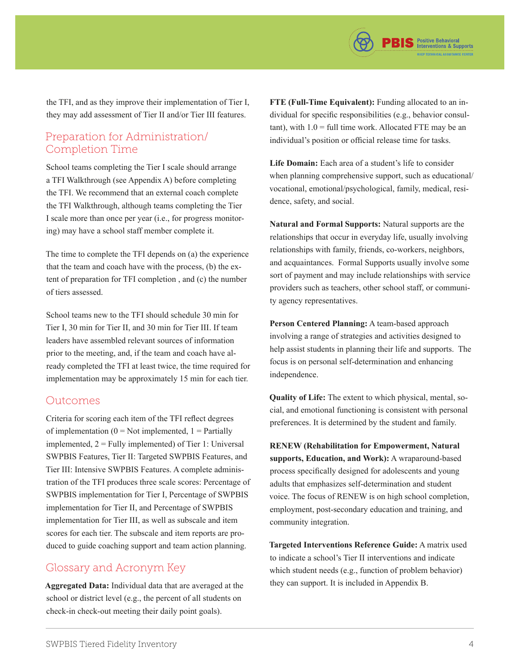

<span id="page-3-0"></span>the TFI, and as they improve their implementation of Tier I, they may add assessment of Tier II and/or Tier III features.

### Preparation for Administration/ Completion Time

School teams completing the Tier I scale should arrange a TFI Walkthrough (see Appendix A) before completing the TFI. We recommend that an external coach complete the TFI Walkthrough, although teams completing the Tier I scale more than once per year (i.e., for progress monitoring) may have a school staff member complete it.

The time to complete the TFI depends on (a) the experience that the team and coach have with the process, (b) the extent of preparation for TFI completion , and (c) the number of tiers assessed.

School teams new to the TFI should schedule 30 min for Tier I, 30 min for Tier II, and 30 min for Tier III. If team leaders have assembled relevant sources of information prior to the meeting, and, if the team and coach have already completed the TFI at least twice, the time required for implementation may be approximately 15 min for each tier.

#### Outcomes

Criteria for scoring each item of the TFI reflect degrees of implementation ( $0 = Not$  implemented,  $1 = Partially$ implemented,  $2 =$  Fully implemented) of Tier 1: Universal SWPBIS Features, Tier II: Targeted SWPBIS Features, and Tier III: Intensive SWPBIS Features. A complete administration of the TFI produces three scale scores: Percentage of SWPBIS implementation for Tier I, Percentage of SWPBIS implementation for Tier II, and Percentage of SWPBIS implementation for Tier III, as well as subscale and item scores for each tier. The subscale and item reports are produced to guide coaching support and team action planning.

### Glossary and Acronym Key

**Aggregated Data:** Individual data that are averaged at the school or district level (e.g., the percent of all students on check-in check-out meeting their daily point goals).

**FTE (Full-Time Equivalent):** Funding allocated to an individual for specific responsibilities (e.g., behavior consul $t$ ant), with  $1.0$  = full time work. Allocated FTE may be an individual's position or official release time for tasks.

**Life Domain:** Each area of a student's life to consider when planning comprehensive support, such as educational/ vocational, emotional/psychological, family, medical, residence, safety, and social.

**Natural and Formal Supports:** Natural supports are the relationships that occur in everyday life, usually involving relationships with family, friends, co-workers, neighbors, and acquaintances. Formal Supports usually involve some sort of payment and may include relationships with service providers such as teachers, other school staff, or community agency representatives.

**Person Centered Planning:** A team-based approach involving a range of strategies and activities designed to help assist students in planning their life and supports. The focus is on personal self-determination and enhancing independence.

**Quality of Life:** The extent to which physical, mental, social, and emotional functioning is consistent with personal preferences. It is determined by the student and family.

**RENEW (Rehabilitation for Empowerment, Natural supports, Education, and Work):** A wraparound-based process specifically designed for adolescents and young adults that emphasizes self-determination and student voice. The focus of RENEW is on high school completion, employment, post-secondary education and training, and community integration.

**Targeted Interventions Reference Guide:** A matrix used to indicate a school's Tier II interventions and indicate which student needs (e.g., function of problem behavior) they can support. It is included in Appendix B.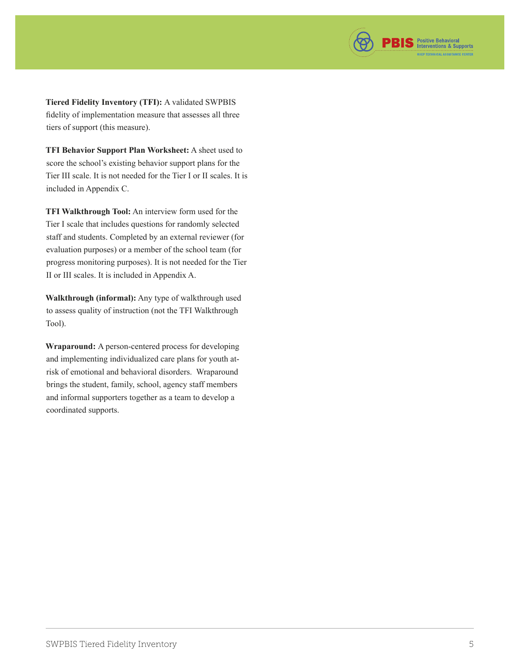

**Tiered Fidelity Inventory (TFI):** A validated SWPBIS fidelity of implementation measure that assesses all three tiers of support (this measure).

**TFI Behavior Support Plan Worksheet:** A sheet used to score the school's existing behavior support plans for the Tier III scale. It is not needed for the Tier I or II scales. It is included in Appendix C.

**TFI Walkthrough Tool:** An interview form used for the Tier I scale that includes questions for randomly selected staff and students. Completed by an external reviewer (for evaluation purposes) or a member of the school team (for progress monitoring purposes). It is not needed for the Tier II or III scales. It is included in Appendix A.

**Walkthrough (informal):** Any type of walkthrough used to assess quality of instruction (not the TFI Walkthrough Tool).

**Wraparound:** A person-centered process for developing and implementing individualized care plans for youth atrisk of emotional and behavioral disorders. Wraparound brings the student, family, school, agency staff members and informal supporters together as a team to develop a coordinated supports.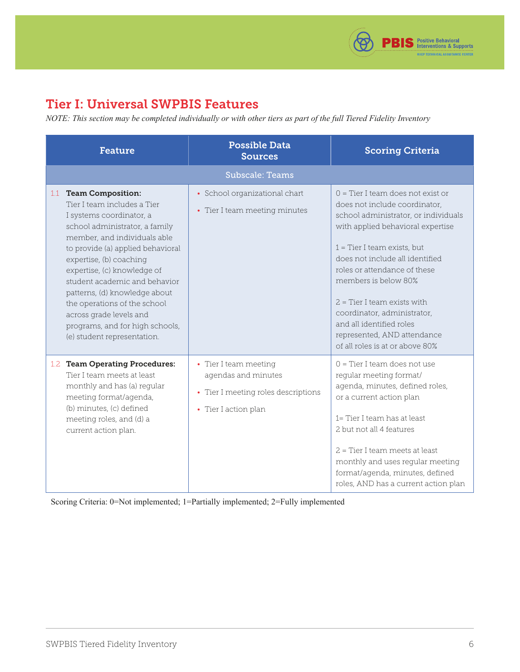

# <span id="page-5-0"></span>Tier I: Universal SWPBIS Features

*NOTE: This section may be completed individually or with other tiers as part of the full Tiered Fidelity Inventory*

| <b>Feature</b>                                                                                                                                                                                                                                                                                                                                                                                                                                             | <b>Possible Data</b><br><b>Sources</b>                                                                      | <b>Scoring Criteria</b>                                                                                                                                                                                                                                                                                                                                                                                                                     |
|------------------------------------------------------------------------------------------------------------------------------------------------------------------------------------------------------------------------------------------------------------------------------------------------------------------------------------------------------------------------------------------------------------------------------------------------------------|-------------------------------------------------------------------------------------------------------------|---------------------------------------------------------------------------------------------------------------------------------------------------------------------------------------------------------------------------------------------------------------------------------------------------------------------------------------------------------------------------------------------------------------------------------------------|
|                                                                                                                                                                                                                                                                                                                                                                                                                                                            | <b>Subscale: Teams</b>                                                                                      |                                                                                                                                                                                                                                                                                                                                                                                                                                             |
| <b>Team Composition:</b><br>1.1<br>Tier I team includes a Tier<br>I systems coordinator, a<br>school administrator, a family<br>member, and individuals able<br>to provide (a) applied behavioral<br>expertise, (b) coaching<br>expertise, (c) knowledge of<br>student academic and behavior<br>patterns, (d) knowledge about<br>the operations of the school<br>across grade levels and<br>programs, and for high schools,<br>(e) student representation. | • School organizational chart<br>• Tier I team meeting minutes                                              | $0 =$ Tier I team does not exist or<br>does not include coordinator,<br>school administrator, or individuals<br>with applied behavioral expertise<br>$1$ = Tier I team exists, but<br>does not include all identified<br>roles or attendance of these<br>members is below 80%<br>$2$ = Tier I team exists with<br>coordinator, administrator,<br>and all identified roles<br>represented, AND attendance<br>of all roles is at or above 80% |
| 1.2 Team Operating Procedures:<br>Tier I team meets at least<br>monthly and has (a) regular<br>meeting format/agenda,<br>(b) minutes, (c) defined<br>meeting roles, and (d) a<br>current action plan.                                                                                                                                                                                                                                                      | • Tier I team meeting<br>agendas and minutes<br>• Tier I meeting roles descriptions<br>• Tier I action plan | $0 =$ Tier I team does not use<br>regular meeting format/<br>agenda, minutes, defined roles,<br>or a current action plan<br>1= Tier I team has at least<br>2 but not all 4 features<br>$2$ = Tier I team meets at least<br>monthly and uses regular meeting<br>format/agenda, minutes, defined<br>roles, AND has a current action plan                                                                                                      |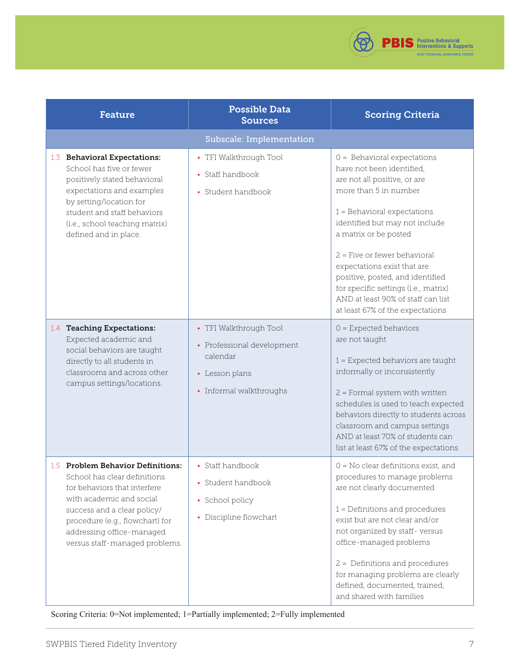

<span id="page-6-0"></span>

| <b>Feature</b>                                                                                                                                                                                                                                                 | <b>Possible Data</b><br><b>Sources</b>                                                                        | <b>Scoring Criteria</b>                                                                                                                                                                                                                                                                                                                                                                                                                |
|----------------------------------------------------------------------------------------------------------------------------------------------------------------------------------------------------------------------------------------------------------------|---------------------------------------------------------------------------------------------------------------|----------------------------------------------------------------------------------------------------------------------------------------------------------------------------------------------------------------------------------------------------------------------------------------------------------------------------------------------------------------------------------------------------------------------------------------|
|                                                                                                                                                                                                                                                                | Subscale: Implementation                                                                                      |                                                                                                                                                                                                                                                                                                                                                                                                                                        |
| 1.3 Behavioral Expectations:<br>School has five or fewer<br>positively stated behavioral<br>expectations and examples<br>by setting/location for<br>student and staff behaviors<br>(i.e., school teaching matrix)<br>defined and in place.                     | • TFI Walkthrough Tool<br>• Staff handbook<br>• Student handbook                                              | $0 =$ Behavioral expectations<br>have not been identified,<br>are not all positive, or are<br>more than 5 in number<br>$1$ = Behavioral expectations<br>identified but may not include<br>a matrix or be posted<br>$2$ = Five or fewer behavioral<br>expectations exist that are<br>positive, posted, and identified<br>for specific settings (i.e., matrix)<br>AND at least 90% of staff can list<br>at least 67% of the expectations |
| 1.4 Teaching Expectations:<br>Expected academic and<br>social behaviors are taught<br>directly to all students in<br>classrooms and across other<br>campus settings/locations.                                                                                 | • TFI Walkthrough Tool<br>• Professional development<br>calendar<br>• Lesson plans<br>• Informal walkthroughs | $0 =$ Expected behaviors<br>are not taught<br>$1$ = Expected behaviors are taught<br>informally or inconsistently<br>$2$ = Formal system with written<br>schedules is used to teach expected<br>behaviors directly to students across<br>classroom and campus settings<br>AND at least 70% of students can<br>list at least 67% of the expectations                                                                                    |
| 1.5 Problem Behavior Definitions:<br>School has clear definitions<br>for behaviors that interfere<br>with academic and social<br>success and a clear policy/<br>procedure (e.g., flowchart) for<br>addressing office-managed<br>versus staff-managed problems. | • Staff handbook<br>• Student handbook<br>• School policy<br>• Discipline flowchart                           | $0 = No$ clear definitions exist, and<br>procedures to manage problems<br>are not clearly documented<br>$1$ = Definitions and procedures<br>exist but are not clear and/or<br>not organized by staff-versus<br>office-managed problems<br>2 = Definitions and procedures<br>for managing problems are clearly<br>defined, documented, trained,<br>and shared with families                                                             |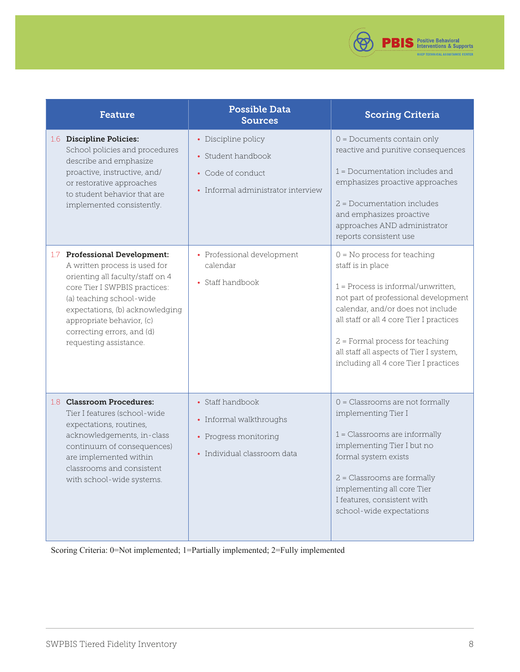

| <b>Feature</b>                                                                                                                                                                                                                                                                                    | <b>Possible Data</b><br><b>Sources</b>                                                               | <b>Scoring Criteria</b>                                                                                                                                                                                                                                                                                                                      |
|---------------------------------------------------------------------------------------------------------------------------------------------------------------------------------------------------------------------------------------------------------------------------------------------------|------------------------------------------------------------------------------------------------------|----------------------------------------------------------------------------------------------------------------------------------------------------------------------------------------------------------------------------------------------------------------------------------------------------------------------------------------------|
| 1.6 Discipline Policies:<br>School policies and procedures<br>describe and emphasize<br>proactive, instructive, and/<br>or restorative approaches<br>to student behavior that are<br>implemented consistently.                                                                                    | • Discipline policy<br>• Student handbook<br>• Code of conduct<br>• Informal administrator interview | $0 =$ Documents contain only<br>reactive and punitive consequences<br>$1 = Doc$ umentation includes and<br>emphasizes proactive approaches<br>$2$ = Documentation includes<br>and emphasizes proactive<br>approaches AND administrator<br>reports consistent use                                                                             |
| <b>Professional Development:</b><br>1.7<br>A written process is used for<br>orienting all faculty/staff on 4<br>core Tier I SWPBIS practices:<br>(a) teaching school-wide<br>expectations, (b) acknowledging<br>appropriate behavior, (c)<br>correcting errors, and (d)<br>requesting assistance. | • Professional development<br>calendar<br>• Staff handbook                                           | $0 = No$ process for teaching<br>staff is in place<br>$1$ = Process is informal/unwritten.<br>not part of professional development<br>calendar, and/or does not include<br>all staff or all 4 core Tier I practices<br>$2$ = Formal process for teaching<br>all staff all aspects of Tier I system,<br>including all 4 core Tier I practices |
| 1.8 Classroom Procedures:<br>Tier I features (school-wide<br>expectations, routines,<br>acknowledgements, in-class<br>continuum of consequences)<br>are implemented within<br>classrooms and consistent<br>with school-wide systems.                                                              | • Staff handbook<br>• Informal walkthroughs<br>• Progress monitoring<br>· Individual classroom data  | $0 = Classrooms$ are not formally<br>implementing Tier I<br>$1$ = Classrooms are informally<br>implementing Tier I but no<br>formal system exists<br>2 = Classrooms are formally<br>implementing all core Tier<br>I features, consistent with<br>school-wide expectations                                                                    |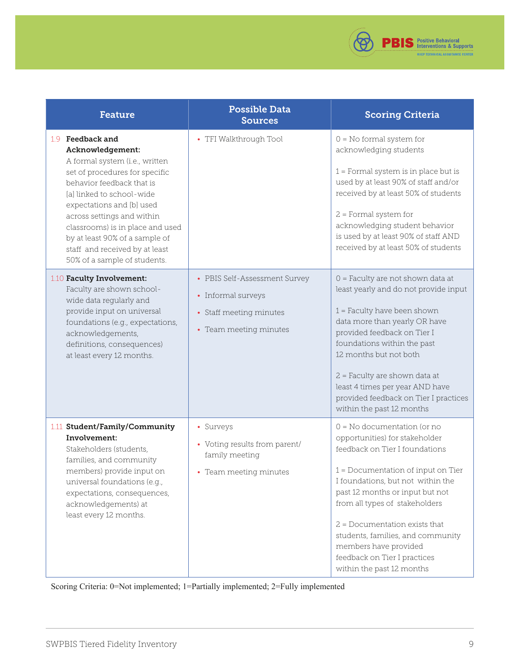

| <b>Feature</b>                                                                                                                                                                                                                                                                                                                                                        | <b>Possible Data</b><br><b>Sources</b>                                                                   | <b>Scoring Criteria</b>                                                                                                                                                                                                                                                                                                                                                                                         |
|-----------------------------------------------------------------------------------------------------------------------------------------------------------------------------------------------------------------------------------------------------------------------------------------------------------------------------------------------------------------------|----------------------------------------------------------------------------------------------------------|-----------------------------------------------------------------------------------------------------------------------------------------------------------------------------------------------------------------------------------------------------------------------------------------------------------------------------------------------------------------------------------------------------------------|
| 1.9 Feedback and<br>Acknowledgement:<br>A formal system (i.e., written<br>set of procedures for specific<br>behavior feedback that is<br>[a] linked to school-wide<br>expectations and [b] used<br>across settings and within<br>classrooms) is in place and used<br>by at least 90% of a sample of<br>staff and received by at least<br>50% of a sample of students. | • TFI Walkthrough Tool                                                                                   | $0 = No$ formal system for<br>acknowledging students<br>$1$ = Formal system is in place but is<br>used by at least 90% of staff and/or<br>received by at least 50% of students<br>$2$ = Formal system for<br>acknowledging student behavior<br>is used by at least 90% of staff AND<br>received by at least 50% of students                                                                                     |
| 1.10 Faculty Involvement:<br>Faculty are shown school-<br>wide data regularly and<br>provide input on universal<br>foundations (e.g., expectations,<br>acknowledgements,<br>definitions, consequences)<br>at least every 12 months.                                                                                                                                   | • PBIS Self-Assessment Survey<br>• Informal surveys<br>• Staff meeting minutes<br>• Team meeting minutes | 0 = Faculty are not shown data at<br>least yearly and do not provide input<br>$1$ = Faculty have been shown<br>data more than yearly OR have<br>provided feedback on Tier I<br>foundations within the past<br>12 months but not both<br>2 = Faculty are shown data at<br>least 4 times per year AND have<br>provided feedback on Tier I practices<br>within the past 12 months                                  |
| 1.11 Student/Family/Community<br>Involvement:<br>Stakeholders (students,<br>families, and community<br>members) provide input on<br>universal foundations (e.g.,<br>expectations, consequences,<br>acknowledgements) at<br>least every 12 months.                                                                                                                     | • Surveys<br>• Voting results from parent/<br>family meeting<br>• Team meeting minutes                   | $0 = No documentation (or no$<br>opportunities) for stakeholder<br>feedback on Tier I foundations<br>1 = Documentation of input on Tier<br>I foundations, but not within the<br>past 12 months or input but not<br>from all types of stakeholders<br>$2$ = Documentation exists that<br>students, families, and community<br>members have provided<br>feedback on Tier I practices<br>within the past 12 months |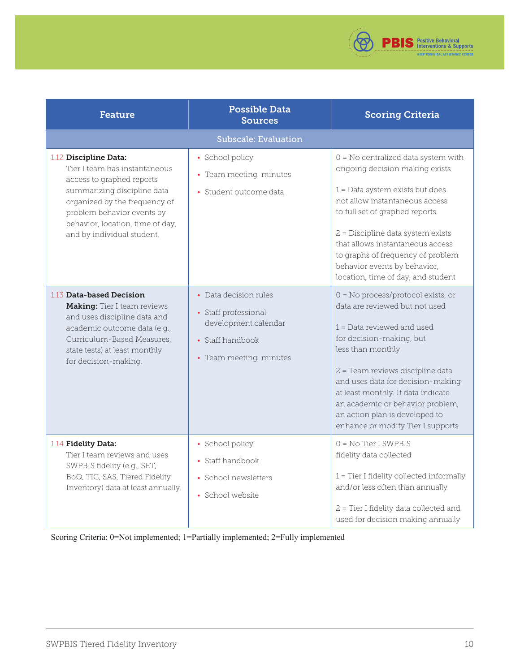

<span id="page-9-0"></span>

| <b>Feature</b>                                                                                                                                                                                                                                      | <b>Possible Data</b><br><b>Sources</b>                                                                              | <b>Scoring Criteria</b>                                                                                                                                                                                                                                                                                                                                                           |
|-----------------------------------------------------------------------------------------------------------------------------------------------------------------------------------------------------------------------------------------------------|---------------------------------------------------------------------------------------------------------------------|-----------------------------------------------------------------------------------------------------------------------------------------------------------------------------------------------------------------------------------------------------------------------------------------------------------------------------------------------------------------------------------|
|                                                                                                                                                                                                                                                     | <b>Subscale: Evaluation</b>                                                                                         |                                                                                                                                                                                                                                                                                                                                                                                   |
| 1.12 Discipline Data:<br>Tier I team has instantaneous<br>access to graphed reports<br>summarizing discipline data<br>organized by the frequency of<br>problem behavior events by<br>behavior, location, time of day,<br>and by individual student. | • School policy<br>• Team meeting minutes<br>• Student outcome data                                                 | $0 = No$ centralized data system with<br>ongoing decision making exists<br>$1$ = Data system exists but does<br>not allow instantaneous access<br>to full set of graphed reports<br>2 = Discipline data system exists<br>that allows instantaneous access<br>to graphs of frequency of problem<br>behavior events by behavior,<br>location, time of day, and student              |
| 1.13 Data-based Decision<br>Making: Tier I team reviews<br>and uses discipline data and<br>academic outcome data (e.g.,<br>Curriculum-Based Measures,<br>state tests) at least monthly<br>for decision-making.                                      | • Data decision rules<br>• Staff professional<br>development calendar<br>• Staff handbook<br>• Team meeting minutes | $0 = No$ process/protocol exists, or<br>data are reviewed but not used<br>$1 = Data$ reviewed and used<br>for decision-making, but<br>less than monthly<br>2 = Team reviews discipline data<br>and uses data for decision-making<br>at least monthly. If data indicate<br>an academic or behavior problem,<br>an action plan is developed to<br>enhance or modify Tier I supports |
| 1.14 Fidelity Data:<br>Tier I team reviews and uses<br>SWPBIS fidelity (e.g., SET,<br>BoQ, TIC, SAS, Tiered Fidelity<br>Inventory) data at least annually.                                                                                          | • School policy<br>• Staff handbook<br>• School newsletters<br>• School website                                     | $0 = No$ Tier I SWPBIS<br>fidelity data collected<br>1 = Tier I fidelity collected informally<br>and/or less often than annually<br>2 = Tier I fidelity data collected and<br>used for decision making annually                                                                                                                                                                   |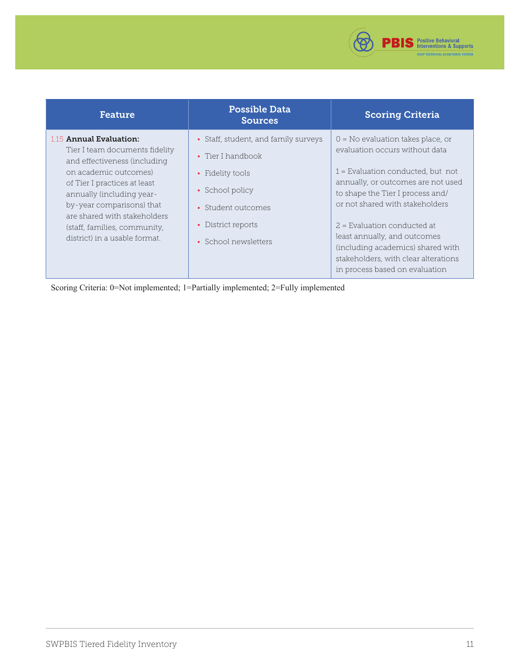

| <b>Feature</b>                                                                                                                                                                                                                                                                                                | <b>Possible Data</b><br><b>Sources</b>                                                                                                                               | <b>Scoring Criteria</b>                                                                                                                                                                                                                                                                                                                                                                                   |
|---------------------------------------------------------------------------------------------------------------------------------------------------------------------------------------------------------------------------------------------------------------------------------------------------------------|----------------------------------------------------------------------------------------------------------------------------------------------------------------------|-----------------------------------------------------------------------------------------------------------------------------------------------------------------------------------------------------------------------------------------------------------------------------------------------------------------------------------------------------------------------------------------------------------|
| 1.15 Annual Evaluation:<br>Tier I team documents fidelity<br>and effectiveness (including<br>on academic outcomes)<br>of Tier I practices at least<br>annually (including year-<br>by-year comparisons) that<br>are shared with stakeholders<br>(staff, families, community,<br>district) in a usable format. | • Staff, student, and family surveys<br>• Tier I handbook<br>• Fidelity tools<br>• School policy<br>• Student outcomes<br>• District reports<br>• School newsletters | $0 = No$ evaluation takes place, or<br>evaluation occurs without data<br>$1$ = Evaluation conducted, but not<br>annually, or outcomes are not used<br>to shape the Tier I process and/<br>or not shared with stakeholders<br>$2$ = Evaluation conducted at<br>least annually, and outcomes<br>(including academics) shared with<br>stakeholders, with clear alterations<br>in process based on evaluation |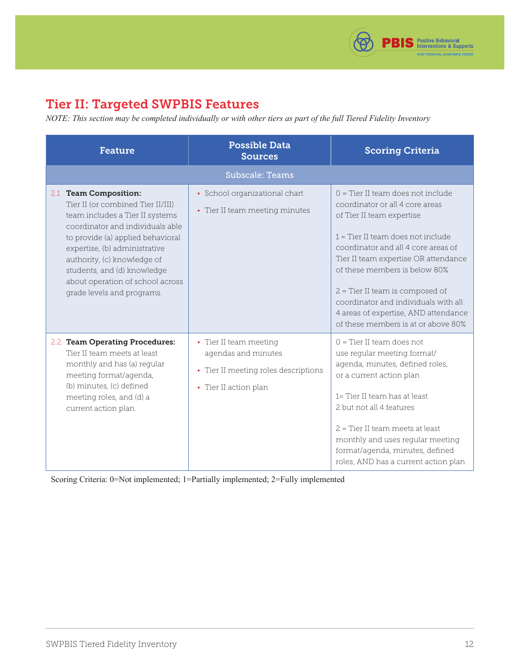

# <span id="page-11-0"></span>Tier II: Targeted SWPBIS Features

*NOTE: This section may be completed individually or with other tiers as part of the full Tiered Fidelity Inventory*

| <b>Feature</b>                                                                                                                                                                                                                                                                                                                          | <b>Possible Data</b><br><b>Sources</b>                                                                         | <b>Scoring Criteria</b>                                                                                                                                                                                                                                                                                                                                                                                              |
|-----------------------------------------------------------------------------------------------------------------------------------------------------------------------------------------------------------------------------------------------------------------------------------------------------------------------------------------|----------------------------------------------------------------------------------------------------------------|----------------------------------------------------------------------------------------------------------------------------------------------------------------------------------------------------------------------------------------------------------------------------------------------------------------------------------------------------------------------------------------------------------------------|
|                                                                                                                                                                                                                                                                                                                                         | <b>Subscale: Teams</b>                                                                                         |                                                                                                                                                                                                                                                                                                                                                                                                                      |
| 2.1 Team Composition:<br>Tier II (or combined Tier II/III)<br>team includes a Tier II systems<br>coordinator and individuals able<br>to provide (a) applied behavioral<br>expertise, (b) administrative<br>authority, (c) knowledge of<br>students, and (d) knowledge<br>about operation of school across<br>grade levels and programs. | • School organizational chart<br>• Tier II team meeting minutes                                                | $0 =$ Tier II team does not include<br>coordinator or all 4 core areas<br>of Tier II team expertise<br>$1 =$ Tier II team does not include<br>coordinator and all 4 core areas of<br>Tier II team expertise OR attendance<br>of these members is below 80%<br>2 = Tier II team is composed of<br>coordinator and individuals with all<br>4 areas of expertise, AND attendance<br>of these members is at or above 80% |
| 2.2 Team Operating Procedures:<br>Tier II team meets at least<br>monthly and has (a) regular<br>meeting format/agenda,<br>(b) minutes, (c) defined<br>meeting roles, and (d) a<br>current action plan.                                                                                                                                  | • Tier II team meeting<br>agendas and minutes<br>• Tier II meeting roles descriptions<br>• Tier II action plan | $0 =$ Tier II team does not<br>use regular meeting format/<br>agenda, minutes, defined roles,<br>or a current action plan<br>1= Tier II team has at least<br>2 but not all 4 features<br>$2$ = Tier II team meets at least<br>monthly and uses regular meeting<br>format/agenda, minutes, defined<br>roles, AND has a current action plan                                                                            |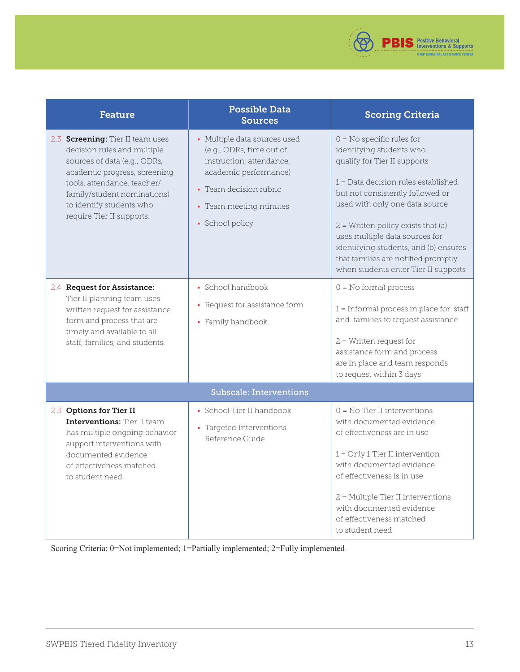

<span id="page-12-0"></span>

| <b>Feature</b>                                                                                                                                                                                                                                                | <b>Possible Data</b><br><b>Sources</b>                                                                                                                                               | <b>Scoring Criteria</b>                                                                                                                                                                                                                                                                                                                                                                                  |
|---------------------------------------------------------------------------------------------------------------------------------------------------------------------------------------------------------------------------------------------------------------|--------------------------------------------------------------------------------------------------------------------------------------------------------------------------------------|----------------------------------------------------------------------------------------------------------------------------------------------------------------------------------------------------------------------------------------------------------------------------------------------------------------------------------------------------------------------------------------------------------|
| 2.3 <b>Screening:</b> Tier II team uses<br>decision rules and multiple<br>sources of data (e.g., ODRs,<br>academic progress, screening<br>tools, attendance, teacher/<br>family/student nominations)<br>to identify students who<br>require Tier II supports. | • Multiple data sources used<br>(e.g., ODRs, time out of<br>instruction, attendance,<br>academic performance)<br>• Team decision rubric<br>• Team meeting minutes<br>• School policy | $0 = No$ specific rules for<br>identifying students who<br>qualify for Tier II supports<br>$1 = Data decision rules established$<br>but not consistently followed or<br>used with only one data source<br>$2$ = Written policy exists that (a)<br>uses multiple data sources for<br>identifying students, and (b) ensures<br>that families are notified promptly<br>when students enter Tier II supports |
| 2.4 Request for Assistance:<br>Tier II planning team uses<br>written request for assistance<br>form and process that are<br>timely and available to all<br>staff, families, and students.                                                                     | • School handbook<br>• Request for assistance form<br>• Family handbook                                                                                                              | $0 = No$ formal process<br>$1 =$ Informal process in place for staff<br>and families to request assistance<br>$2$ = Written request for<br>assistance form and process<br>are in place and team responds<br>to request within 3 days                                                                                                                                                                     |
|                                                                                                                                                                                                                                                               | <b>Subscale: Interventions</b>                                                                                                                                                       |                                                                                                                                                                                                                                                                                                                                                                                                          |
| 2.5 Options for Tier II<br><b>Interventions:</b> Tier II team<br>has multiple ongoing behavior<br>support interventions with<br>documented evidence<br>of effectiveness matched<br>to student need.                                                           | • School Tier II handbook<br>• Targeted Interventions<br>Reference Guide                                                                                                             | $0 = No$ Tier II interventions<br>with documented evidence<br>of effectiveness are in use<br>$1 =$ Only 1 Tier II intervention<br>with documented evidence<br>of effectiveness is in use<br>2 = Multiple Tier II interventions<br>with documented evidence<br>of effectiveness matched<br>to student need                                                                                                |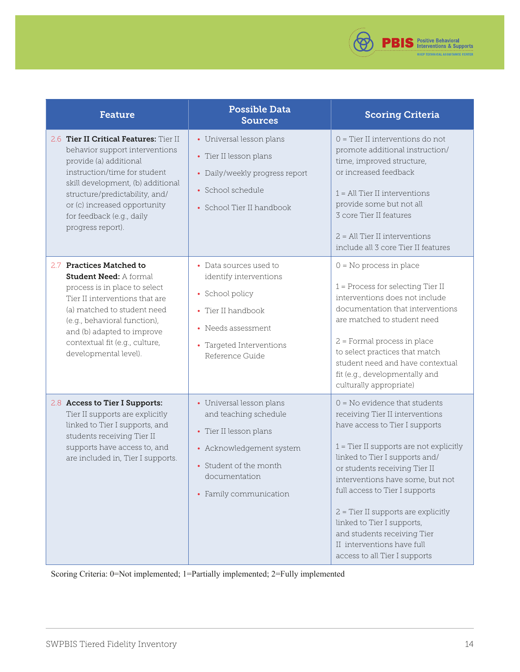

| <b>Feature</b>                                                                                                                                                                                                                                                                              | <b>Possible Data</b><br><b>Sources</b>                                                                                                                                       | <b>Scoring Criteria</b>                                                                                                                                                                                                                                                                                                                                                                                                                                         |
|---------------------------------------------------------------------------------------------------------------------------------------------------------------------------------------------------------------------------------------------------------------------------------------------|------------------------------------------------------------------------------------------------------------------------------------------------------------------------------|-----------------------------------------------------------------------------------------------------------------------------------------------------------------------------------------------------------------------------------------------------------------------------------------------------------------------------------------------------------------------------------------------------------------------------------------------------------------|
| 2.6 Tier II Critical Features: Tier II<br>behavior support interventions<br>provide (a) additional<br>instruction/time for student<br>skill development, (b) additional<br>structure/predictability, and/<br>or (c) increased opportunity<br>for feedback (e.g., daily<br>progress report). | • Universal lesson plans<br>• Tier II lesson plans<br>• Daily/weekly progress report<br>• School schedule<br>• School Tier II handbook                                       | 0 = Tier II interventions do not<br>promote additional instruction/<br>time, improved structure,<br>or increased feedback<br>$1 = All Tier II$ interventions<br>provide some but not all<br>3 core Tier II features<br>$2$ = All Tier II interventions<br>include all 3 core Tier II features                                                                                                                                                                   |
| 2.7 Practices Matched to<br><b>Student Need: A formal</b><br>process is in place to select<br>Tier II interventions that are<br>(a) matched to student need<br>(e.g., behavioral function),<br>and (b) adapted to improve<br>contextual fit (e.g., culture,<br>developmental level).        | • Data sources used to<br>identify interventions<br>• School policy<br>• Tier II handbook<br>• Needs assessment<br>• Targeted Interventions<br>Reference Guide               | $0 = No$ process in place<br>$1$ = Process for selecting Tier II<br>interventions does not include<br>documentation that interventions<br>are matched to student need<br>2 = Formal process in place<br>to select practices that match<br>student need and have contextual<br>fit (e.g., developmentally and<br>culturally appropriate)                                                                                                                         |
| 2.8 Access to Tier I Supports:<br>Tier II supports are explicitly<br>linked to Tier I supports, and<br>students receiving Tier II<br>supports have access to, and<br>are included in, Tier I supports.                                                                                      | • Universal lesson plans<br>and teaching schedule<br>• Tier II lesson plans<br>• Acknowledgement system<br>• Student of the month<br>documentation<br>• Family communication | $0 = No$ evidence that students<br>receiving Tier II interventions<br>have access to Tier I supports<br>$1$ = Tier II supports are not explicitly<br>linked to Tier I supports and/<br>or students receiving Tier II<br>interventions have some, but not<br>full access to Tier I supports<br>$2$ = Tier II supports are explicitly<br>linked to Tier I supports,<br>and students receiving Tier<br>II interventions have full<br>access to all Tier I supports |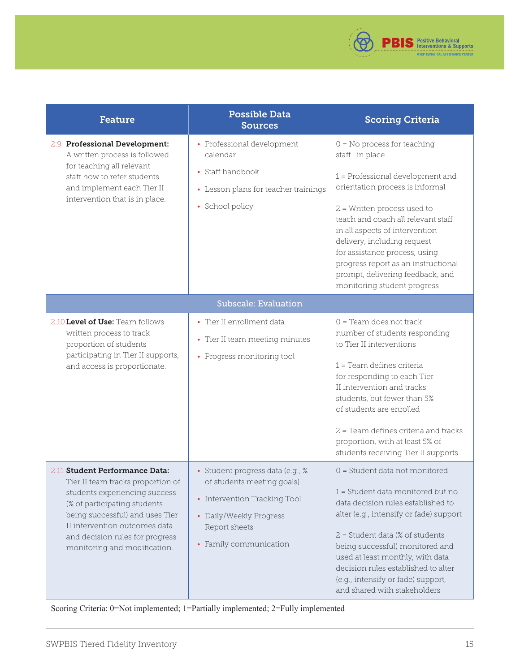

<span id="page-14-0"></span>

| <b>Feature</b>                                                                                                                                                                                                                                                              | <b>Possible Data</b><br><b>Sources</b>                                                                                                                               | <b>Scoring Criteria</b>                                                                                                                                                                                                                                                                                                                                                                                   |
|-----------------------------------------------------------------------------------------------------------------------------------------------------------------------------------------------------------------------------------------------------------------------------|----------------------------------------------------------------------------------------------------------------------------------------------------------------------|-----------------------------------------------------------------------------------------------------------------------------------------------------------------------------------------------------------------------------------------------------------------------------------------------------------------------------------------------------------------------------------------------------------|
| 2.9 Professional Development:<br>A written process is followed<br>for teaching all relevant<br>staff how to refer students<br>and implement each Tier II<br>intervention that is in place.                                                                                  | • Professional development<br>calendar<br>• Staff handbook<br>• Lesson plans for teacher trainings<br>• School policy                                                | $0 = No$ process for teaching<br>staff in place<br>1 = Professional development and<br>orientation process is informal<br>$2$ = Written process used to<br>teach and coach all relevant staff<br>in all aspects of intervention<br>delivery, including request<br>for assistance process, using<br>progress report as an instructional<br>prompt, delivering feedback, and<br>monitoring student progress |
|                                                                                                                                                                                                                                                                             | <b>Subscale: Evaluation</b>                                                                                                                                          |                                                                                                                                                                                                                                                                                                                                                                                                           |
| 2.10 Level of Use: Team follows<br>written process to track<br>proportion of students<br>participating in Tier II supports,<br>and access is proportionate.                                                                                                                 | • Tier II enrollment data<br>• Tier II team meeting minutes<br>• Progress monitoring tool                                                                            | $0$ = Team does not track<br>number of students responding<br>to Tier II interventions<br>$1$ = Team defines criteria<br>for responding to each Tier<br>II intervention and tracks<br>students, but fewer than 5%<br>of students are enrolled<br>2 = Team defines criteria and tracks<br>proportion, with at least 5% of<br>students receiving Tier II supports                                           |
| 2.11 Student Performance Data:<br>Tier II team tracks proportion of<br>students experiencing success<br>(% of participating students<br>being successful) and uses Tier<br>II intervention outcomes data<br>and decision rules for progress<br>monitoring and modification. | · Student progress data (e.g., %<br>of students meeting goals)<br>• Intervention Tracking Tool<br>• Daily/Weekly Progress<br>Report sheets<br>• Family communication | 0 = Student data not monitored<br>1 = Student data monitored but no<br>data decision rules established to<br>alter (e.g., intensify or fade) support<br>$2$ = Student data (% of students<br>being successful) monitored and<br>used at least monthly, with data<br>decision rules established to alter<br>(e.g., intensify or fade) support,<br>and shared with stakeholders                             |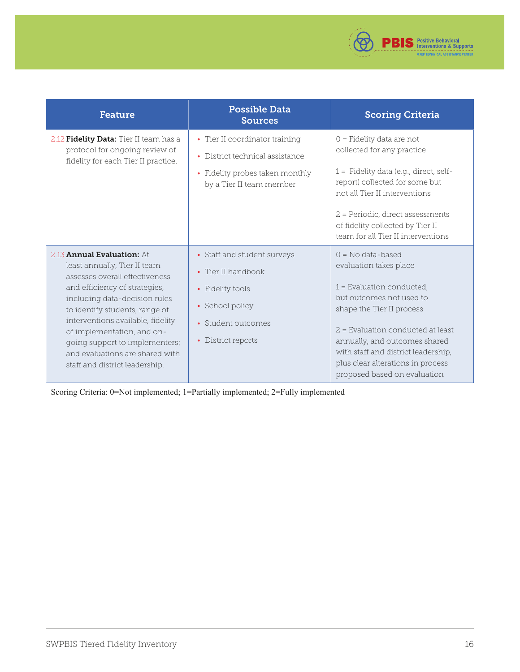

| <b>Feature</b>                                                                                                                                                                                                                                                                                                                                                                    | <b>Possible Data</b><br><b>Sources</b>                                                                                               | <b>Scoring Criteria</b>                                                                                                                                                                                                                                                                                                   |
|-----------------------------------------------------------------------------------------------------------------------------------------------------------------------------------------------------------------------------------------------------------------------------------------------------------------------------------------------------------------------------------|--------------------------------------------------------------------------------------------------------------------------------------|---------------------------------------------------------------------------------------------------------------------------------------------------------------------------------------------------------------------------------------------------------------------------------------------------------------------------|
| 2.12 Fidelity Data: Tier II team has a<br>protocol for ongoing review of<br>fidelity for each Tier II practice.                                                                                                                                                                                                                                                                   | • Tier II coordinator training<br>• District technical assistance<br>• Fidelity probes taken monthly<br>by a Tier II team member     | $0$ = Fidelity data are not<br>collected for any practice<br>$1 =$ Fidelity data (e.g., direct, self-<br>report) collected for some but<br>not all Tier II interventions<br>2 = Periodic, direct assessments<br>of fidelity collected by Tier II<br>team for all Tier II interventions                                    |
| 2.13 <b>Annual Evaluation:</b> At<br>least annually, Tier II team<br>assesses overall effectiveness<br>and efficiency of strategies,<br>including data-decision rules<br>to identify students, range of<br>interventions available, fidelity<br>of implementation, and on-<br>going support to implementers;<br>and evaluations are shared with<br>staff and district leadership. | • Staff and student surveys<br>• Tier II handbook<br>• Fidelity tools<br>• School policy<br>• Student outcomes<br>• District reports | $0 = No data-based$<br>evaluation takes place<br>$1$ = Evaluation conducted,<br>but outcomes not used to<br>shape the Tier II process<br>$2$ = Evaluation conducted at least<br>annually, and outcomes shared<br>with staff and district leadership,<br>plus clear alterations in process<br>proposed based on evaluation |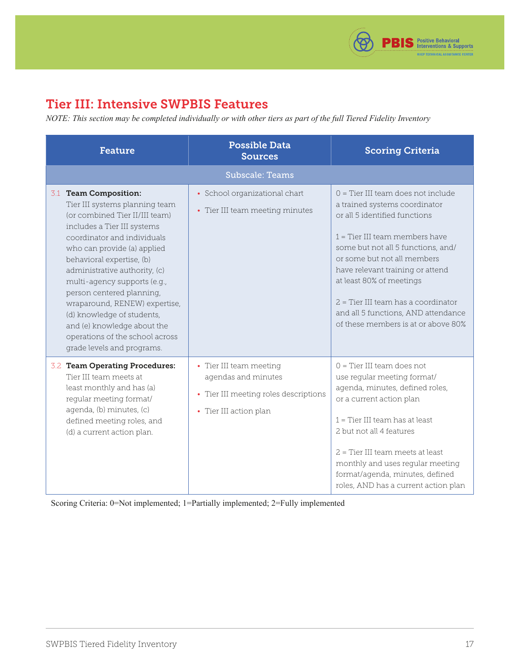

# <span id="page-16-0"></span>Tier III: Intensive SWPBIS Features

*NOTE: This section may be completed individually or with other tiers as part of the full Tiered Fidelity Inventory*

| <b>Feature</b>                                                                                                                                                                                                                                                                                                                                                                                                                                                                   | <b>Possible Data</b><br><b>Sources</b>                                                                            | <b>Scoring Criteria</b>                                                                                                                                                                                                                                                                                                                                                                              |
|----------------------------------------------------------------------------------------------------------------------------------------------------------------------------------------------------------------------------------------------------------------------------------------------------------------------------------------------------------------------------------------------------------------------------------------------------------------------------------|-------------------------------------------------------------------------------------------------------------------|------------------------------------------------------------------------------------------------------------------------------------------------------------------------------------------------------------------------------------------------------------------------------------------------------------------------------------------------------------------------------------------------------|
|                                                                                                                                                                                                                                                                                                                                                                                                                                                                                  | <b>Subscale: Teams</b>                                                                                            |                                                                                                                                                                                                                                                                                                                                                                                                      |
| 3.1 Team Composition:<br>Tier III systems planning team<br>(or combined Tier II/III team)<br>includes a Tier III systems<br>coordinator and individuals<br>who can provide (a) applied<br>behavioral expertise, (b)<br>administrative authority, (c)<br>multi-agency supports (e.g.,<br>person centered planning,<br>wraparound, RENEW) expertise,<br>(d) knowledge of students,<br>and (e) knowledge about the<br>operations of the school across<br>grade levels and programs. | • School organizational chart<br>• Tier III team meeting minutes                                                  | $0 =$ Tier III team does not include<br>a trained systems coordinator<br>or all 5 identified functions<br>$1$ = Tier III team members have<br>some but not all 5 functions, and/<br>or some but not all members<br>have relevant training or attend<br>at least 80% of meetings<br>2 = Tier III team has a coordinator<br>and all 5 functions, AND attendance<br>of these members is at or above 80% |
| 3.2 Team Operating Procedures:<br>Tier III team meets at<br>least monthly and has (a)<br>regular meeting format/<br>agenda, (b) minutes, (c)<br>defined meeting roles, and<br>(d) a current action plan.                                                                                                                                                                                                                                                                         | • Tier III team meeting<br>agendas and minutes<br>• Tier III meeting roles descriptions<br>• Tier III action plan | $0 =$ Tier III team does not<br>use regular meeting format/<br>agenda, minutes, defined roles,<br>or a current action plan<br>$1$ = Tier III team has at least<br>2 but not all 4 features<br>2 = Tier III team meets at least<br>monthly and uses regular meeting<br>format/agenda, minutes, defined<br>roles, AND has a current action plan                                                        |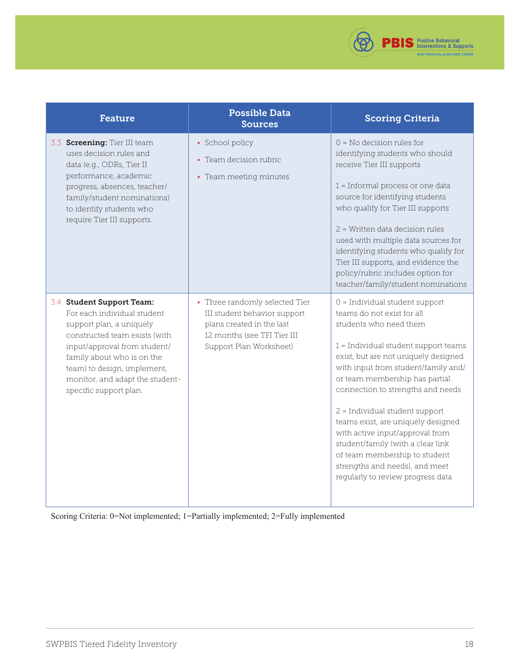

| <b>Feature</b>                                                                                                                                                                                                                                                                  | <b>Possible Data</b><br><b>Sources</b>                                                                                                                | <b>Scoring Criteria</b>                                                                                                                                                                                                                                                                                                                                                                                                                                                                                                                            |
|---------------------------------------------------------------------------------------------------------------------------------------------------------------------------------------------------------------------------------------------------------------------------------|-------------------------------------------------------------------------------------------------------------------------------------------------------|----------------------------------------------------------------------------------------------------------------------------------------------------------------------------------------------------------------------------------------------------------------------------------------------------------------------------------------------------------------------------------------------------------------------------------------------------------------------------------------------------------------------------------------------------|
| 3.3 Screening: Tier III team<br>uses decision rules and<br>data (e.g., ODRs, Tier II<br>performance, academic<br>progress, absences, teacher/<br>family/student nominations)<br>to identify students who<br>require Tier III supports.                                          | • School policy<br>• Team decision rubric<br>• Team meeting minutes                                                                                   | $0 = No$ decision rules for<br>identifying students who should<br>receive Tier III supports<br>1 = Informal process or one data<br>source for identifying students<br>who qualify for Tier III supports<br>2 = Written data decision rules<br>used with multiple data sources for<br>identifying students who qualify for<br>Tier III supports, and evidence the<br>policy/rubric includes option for<br>teacher/family/student nominations                                                                                                        |
| 3.4 Student Support Team:<br>For each individual student<br>support plan, a uniquely<br>constructed team exists (with<br>input/approval from student/<br>family about who is on the<br>team) to design, implement,<br>monitor, and adapt the student-<br>specific support plan. | • Three randomly selected Tier<br>III student behavior support<br>plans created in the last<br>12 months (see TFI Tier III<br>Support Plan Worksheet) | $0 =$ Individual student support<br>teams do not exist for all<br>students who need them<br>$1 =$ Individual student support teams<br>exist, but are not uniquely designed<br>with input from student/family and/<br>or team membership has partial<br>connection to strengths and needs<br>$2$ = Individual student support<br>teams exist, are uniquely designed<br>with active input/approval from<br>student/family (with a clear link<br>of team membership to student<br>strengths and needs), and meet<br>regularly to review progress data |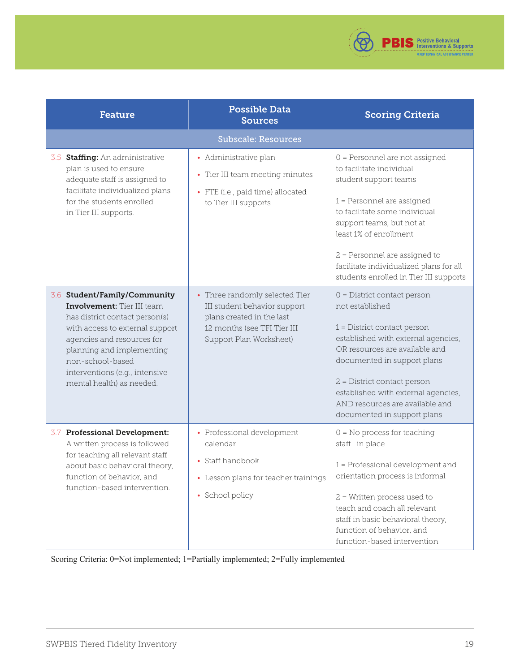

<span id="page-18-0"></span>

| <b>Feature</b>                                                                                                                                                                                                                                                                       | <b>Possible Data</b><br><b>Sources</b>                                                                                                                | <b>Scoring Criteria</b>                                                                                                                                                                                                                                                                                                           |  |  |  |  |  |
|--------------------------------------------------------------------------------------------------------------------------------------------------------------------------------------------------------------------------------------------------------------------------------------|-------------------------------------------------------------------------------------------------------------------------------------------------------|-----------------------------------------------------------------------------------------------------------------------------------------------------------------------------------------------------------------------------------------------------------------------------------------------------------------------------------|--|--|--|--|--|
| <b>Subscale: Resources</b>                                                                                                                                                                                                                                                           |                                                                                                                                                       |                                                                                                                                                                                                                                                                                                                                   |  |  |  |  |  |
| 3.5 Staffing: An administrative<br>plan is used to ensure<br>adequate staff is assigned to<br>facilitate individualized plans<br>for the students enrolled<br>in Tier III supports.                                                                                                  | • Administrative plan<br>• Tier III team meeting minutes<br>• FTE (i.e., paid time) allocated<br>to Tier III supports                                 | 0 = Personnel are not assigned<br>to facilitate individual<br>student support teams<br>$1$ = Personnel are assigned<br>to facilitate some individual<br>support teams, but not at<br>least 1% of enrollment<br>2 = Personnel are assigned to<br>facilitate individualized plans for all<br>students enrolled in Tier III supports |  |  |  |  |  |
| 3.6 Student/Family/Community<br><b>Involvement:</b> Tier III team<br>has district contact person(s)<br>with access to external support<br>agencies and resources for<br>planning and implementing<br>non-school-based<br>interventions (e.g., intensive<br>mental health) as needed. | • Three randomly selected Tier<br>III student behavior support<br>plans created in the last<br>12 months (see TFI Tier III<br>Support Plan Worksheet) | $0 =$ District contact person<br>not established<br>$1 =$ District contact person<br>established with external agencies,<br>OR resources are available and<br>documented in support plans<br>2 = District contact person<br>established with external agencies,<br>AND resources are available and<br>documented in support plans |  |  |  |  |  |
| 3.7 Professional Development:<br>A written process is followed<br>for teaching all relevant staff<br>about basic behavioral theory,<br>function of behavior, and<br>function-based intervention.                                                                                     | • Professional development<br>calendar<br>• Staff handbook<br>• Lesson plans for teacher trainings<br>• School policy                                 | $0 = No$ process for teaching<br>staff in place<br>1 = Professional development and<br>orientation process is informal<br>$2$ = Written process used to<br>teach and coach all relevant<br>staff in basic behavioral theory,<br>function of behavior, and<br>function-based intervention                                          |  |  |  |  |  |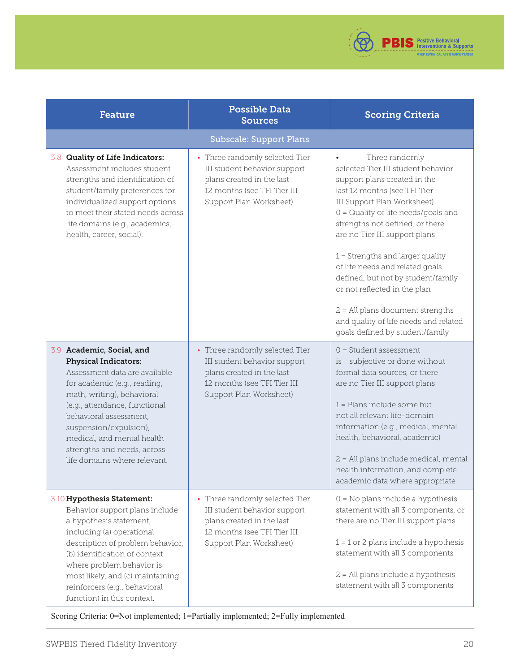

<span id="page-19-0"></span>

| <b>Feature</b>                                                                                                                                                                                                                                                                                                                           | <b>Possible Data</b><br><b>Sources</b>                                                                                                                | <b>Scoring Criteria</b>                                                                                                                                                                                                                                                                                                                                                                                                                                                                                                                        |  |
|------------------------------------------------------------------------------------------------------------------------------------------------------------------------------------------------------------------------------------------------------------------------------------------------------------------------------------------|-------------------------------------------------------------------------------------------------------------------------------------------------------|------------------------------------------------------------------------------------------------------------------------------------------------------------------------------------------------------------------------------------------------------------------------------------------------------------------------------------------------------------------------------------------------------------------------------------------------------------------------------------------------------------------------------------------------|--|
|                                                                                                                                                                                                                                                                                                                                          | <b>Subscale: Support Plans</b>                                                                                                                        |                                                                                                                                                                                                                                                                                                                                                                                                                                                                                                                                                |  |
| 3.8 Quality of Life Indicators:<br>Assessment includes student<br>strengths and identification of<br>student/family preferences for<br>individualized support options<br>to meet their stated needs across<br>life domains (e.g., academics,<br>health, career, social).                                                                 | • Three randomly selected Tier<br>III student behavior support<br>plans created in the last<br>12 months (see TFI Tier III<br>Support Plan Worksheet) | Three randomly<br>$\bullet$<br>selected Tier III student behavior<br>support plans created in the<br>last 12 months (see TFI Tier<br>III Support Plan Worksheet)<br>$0 =$ Quality of life needs/goals and<br>strengths not defined, or there<br>are no Tier III support plans<br>$1$ = Strengths and larger quality<br>of life needs and related goals<br>defined, but not by student/family<br>or not reflected in the plan<br>$2$ = All plans document strengths<br>and quality of life needs and related<br>goals defined by student/family |  |
| 3.9 Academic, Social, and<br><b>Physical Indicators:</b><br>Assessment data are available<br>for academic (e.g., reading,<br>math, writing), behavioral<br>(e.g., attendance, functional<br>behavioral assessment,<br>suspension/expulsion),<br>medical, and mental health<br>strengths and needs, across<br>life domains where relevant | • Three randomly selected Tier<br>III student behavior support<br>plans created in the last<br>12 months (see TFI Tier III<br>Support Plan Worksheet) | $0 = Student$ assessment<br>subjective or done without<br>is<br>formal data sources, or there<br>are no Tier III support plans<br>$1$ = Plans include some but<br>not all relevant life-domain<br>information (e.g., medical, mental<br>health, behavioral, academic)<br>2 = All plans include medical, mental<br>health information, and complete<br>academic data where appropriate                                                                                                                                                          |  |
| 3.10 Hypothesis Statement:<br>Behavior support plans include<br>a hypothesis statement,<br>including (a) operational<br>description of problem behavior,<br>(b) identification of context<br>where problem behavior is<br>most likely, and (c) maintaining<br>reinforcers (e.g., behavioral<br>function) in this context.                | • Three randomly selected Tier<br>III student behavior support<br>plans created in the last<br>12 months (see TFI Tier III<br>Support Plan Worksheet) | $0 = No$ plans include a hypothesis<br>statement with all 3 components, or<br>there are no Tier III support plans<br>$1 = 1$ or 2 plans include a hypothesis<br>statement with all 3 components<br>2 = All plans include a hypothesis<br>statement with all 3 components                                                                                                                                                                                                                                                                       |  |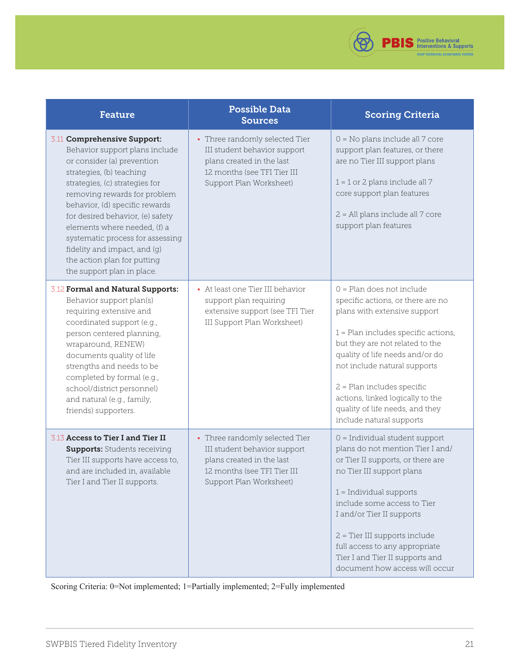

| <b>Feature</b>                                                                                                                                                                                                                                                                                                                                                                                                                   | <b>Possible Data</b><br><b>Sources</b>                                                                                                                | <b>Scoring Criteria</b>                                                                                                                                                                                                                                                                                                                                                            |
|----------------------------------------------------------------------------------------------------------------------------------------------------------------------------------------------------------------------------------------------------------------------------------------------------------------------------------------------------------------------------------------------------------------------------------|-------------------------------------------------------------------------------------------------------------------------------------------------------|------------------------------------------------------------------------------------------------------------------------------------------------------------------------------------------------------------------------------------------------------------------------------------------------------------------------------------------------------------------------------------|
| 3.11 Comprehensive Support:<br>Behavior support plans include<br>or consider (a) prevention<br>strategies, (b) teaching<br>strategies, (c) strategies for<br>removing rewards for problem<br>behavior, (d) specific rewards<br>for desired behavior, (e) safety<br>elements where needed, (f) a<br>systematic process for assessing<br>fidelity and impact, and (g)<br>the action plan for putting<br>the support plan in place. | • Three randomly selected Tier<br>III student behavior support<br>plans created in the last<br>12 months (see TFI Tier III<br>Support Plan Worksheet) | $0 = No$ plans include all $7$ core<br>support plan features, or there<br>are no Tier III support plans<br>$1 = 1$ or 2 plans include all 7<br>core support plan features<br>2 = All plans include all 7 core<br>support plan features                                                                                                                                             |
| 3.12 Formal and Natural Supports:<br>Behavior support plan(s)<br>requiring extensive and<br>coordinated support (e.g.,<br>person centered planning,<br>wraparound, RENEW)<br>documents quality of life<br>strengths and needs to be<br>completed by formal (e.g.,<br>school/district personnel)<br>and natural (e.g., family,<br>friends) supporters.                                                                            | • At least one Tier III behavior<br>support plan requiring<br>extensive support (see TFI Tier<br>III Support Plan Worksheet)                          | $0 =$ Plan does not include<br>specific actions, or there are no<br>plans with extensive support<br>$1$ = Plan includes specific actions,<br>but they are not related to the<br>quality of life needs and/or do<br>not include natural supports<br>$2$ = Plan includes specific<br>actions, linked logically to the<br>quality of life needs, and they<br>include natural supports |
| 3.13 Access to Tier I and Tier II<br><b>Supports:</b> Students receiving<br>Tier III supports have access to,<br>and are included in, available<br>Tier I and Tier II supports.                                                                                                                                                                                                                                                  | • Three randomly selected Tier<br>III student behavior support<br>plans created in the last<br>12 months (see TFI Tier III<br>Support Plan Worksheet) | $0 =$ Individual student support<br>plans do not mention Tier I and/<br>or Tier II supports, or there are<br>no Tier III support plans<br>$1 =$ Individual supports<br>include some access to Tier<br>I and/or Tier II supports<br>2 = Tier III supports include<br>full access to any appropriate<br>Tier I and Tier II supports and<br>document how access will occur            |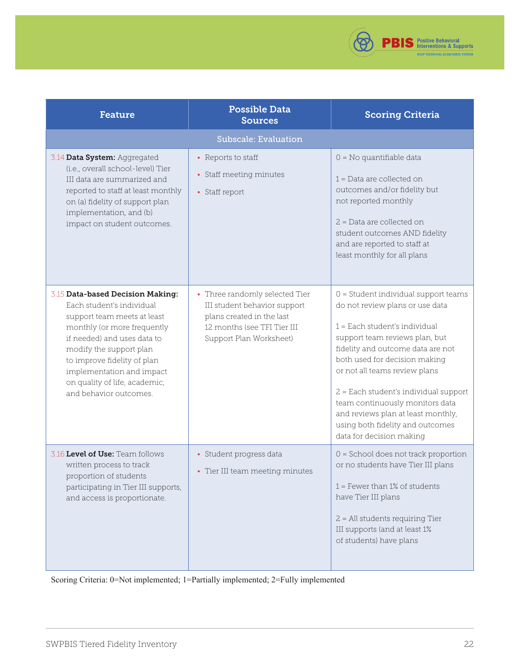

<span id="page-21-0"></span>

| <b>Feature</b>                                                                                                                                                                                                                                                                                               | <b>Possible Data</b><br><b>Sources</b>                                                                                                                | <b>Scoring Criteria</b>                                                                                                                                                                                                                                                                                                                                                                                                                 |  |  |  |  |  |
|--------------------------------------------------------------------------------------------------------------------------------------------------------------------------------------------------------------------------------------------------------------------------------------------------------------|-------------------------------------------------------------------------------------------------------------------------------------------------------|-----------------------------------------------------------------------------------------------------------------------------------------------------------------------------------------------------------------------------------------------------------------------------------------------------------------------------------------------------------------------------------------------------------------------------------------|--|--|--|--|--|
| <b>Subscale: Evaluation</b>                                                                                                                                                                                                                                                                                  |                                                                                                                                                       |                                                                                                                                                                                                                                                                                                                                                                                                                                         |  |  |  |  |  |
| 3.14 Data System: Aggregated<br>(i.e., overall school-level) Tier<br>III data are summarized and<br>reported to staff at least monthly<br>on (a) fidelity of support plan<br>implementation, and (b)<br>impact on student outcomes.                                                                          | • Reports to staff<br>• Staff meeting minutes<br>• Staff report                                                                                       | $0 = No$ quantifiable data<br>$1$ = Data are collected on<br>outcomes and/or fidelity but<br>not reported monthly<br>$2$ = Data are collected on<br>student outcomes AND fidelity<br>and are reported to staff at<br>least monthly for all plans                                                                                                                                                                                        |  |  |  |  |  |
| 3.15 Data-based Decision Making:<br>Each student's individual<br>support team meets at least<br>monthly (or more frequently<br>if needed) and uses data to<br>modify the support plan<br>to improve fidelity of plan<br>implementation and impact<br>on quality of life, academic,<br>and behavior outcomes. | • Three randomly selected Tier<br>III student behavior support<br>plans created in the last<br>12 months (see TFI Tier III<br>Support Plan Worksheet) | $0 =$ Student individual support teams<br>do not review plans or use data<br>$1 =$ Each student's individual<br>support team reviews plan, but<br>fidelity and outcome data are not<br>both used for decision making<br>or not all teams review plans<br>2 = Each student's individual support<br>team continuously monitors data<br>and reviews plan at least monthly,<br>using both fidelity and outcomes<br>data for decision making |  |  |  |  |  |
| 3.16 Level of Use: Team follows<br>written process to track<br>proportion of students<br>participating in Tier III supports,<br>and access is proportionate.                                                                                                                                                 | · Student progress data<br>• Tier III team meeting minutes                                                                                            | $0 =$ School does not track proportion<br>or no students have Tier III plans<br>$1$ = Fewer than 1% of students<br>have Tier III plans<br>2 = All students requiring Tier<br>III supports (and at least 1%<br>of students) have plans                                                                                                                                                                                                   |  |  |  |  |  |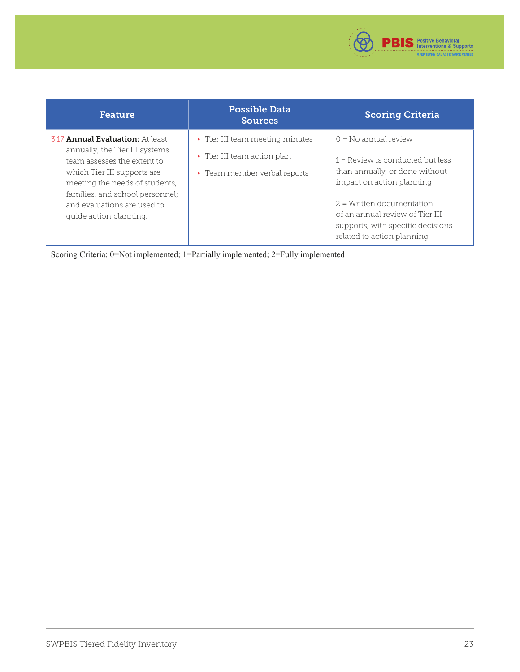

| Feature                                                                                                                                                                                                                                                               | <b>Possible Data</b><br><b>Sources</b>                                                         | <b>Scoring Criteria</b>                                                                                                                                                                                                                                          |
|-----------------------------------------------------------------------------------------------------------------------------------------------------------------------------------------------------------------------------------------------------------------------|------------------------------------------------------------------------------------------------|------------------------------------------------------------------------------------------------------------------------------------------------------------------------------------------------------------------------------------------------------------------|
| 3.17 <b>Annual Evaluation:</b> At least<br>annually, the Tier III systems<br>team assesses the extent to<br>which Tier III supports are<br>meeting the needs of students,<br>families, and school personnel;<br>and evaluations are used to<br>quide action planning. | • Tier III team meeting minutes<br>• Tier III team action plan<br>• Team member verbal reports | $0 = No$ annual review<br>$1 =$ Review is conducted but less<br>than annually, or done without<br>impact on action planning<br>$2$ = Written documentation<br>of an annual review of Tier III<br>supports, with specific decisions<br>related to action planning |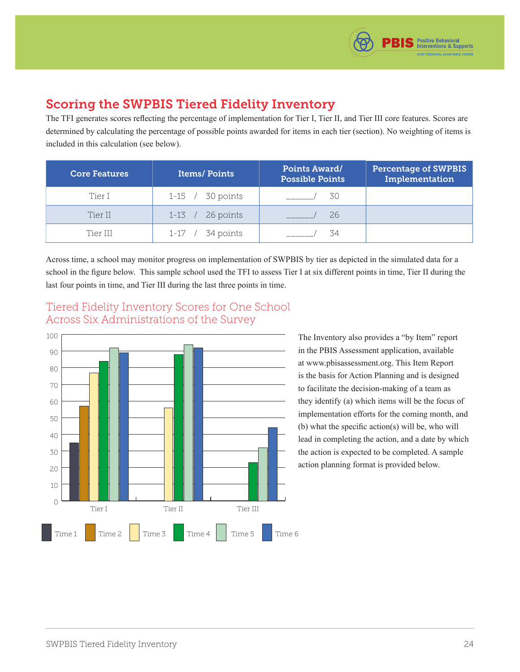

## <span id="page-23-0"></span>Scoring the SWPBIS Tiered Fidelity Inventory

The TFI generates scores reflecting the percentage of implementation for Tier I, Tier II, and Tier III core features. Scores are determined by calculating the percentage of possible points awarded for items in each tier (section). No weighting of items is included in this calculation (see below).

| <b>Core Features</b> | <b>Items/Points</b> | <b>Points Award/</b><br><b>Possible Points</b> | <b>Percentage of SWPBIS</b><br>Implementation |
|----------------------|---------------------|------------------------------------------------|-----------------------------------------------|
| Tier I               | 1-15 / 30 points    | 30                                             |                                               |
| Tier II              | $1-13$ / 26 points  | 26                                             |                                               |
| Tier III             | $1-17$ / 34 points  | 34                                             |                                               |

Across time, a school may monitor progress on implementation of SWPBIS by tier as depicted in the simulated data for a school in the figure below. This sample school used the TFI to assess Tier I at six different points in time, Tier II during the last four points in time, and Tier III during the last three points in time.



Tiered Fidelity Inventory Scores for One School Across Six Administrations of the Survey

> The Inventory also provides a "by Item" report in the PBIS Assessment application, available at [www.pbisassessment.org. Th](http://www.pbisassessment.org)is Item Report is the basis for Action Planning and is designed to facilitate the decision-making of a team as they identify (a) which items will be the focus of implementation efforts for the coming month, and (b) what the specific action(s) will be, who will lead in completing the action, and a date by which the action is expected to be completed. A sample action planning format is provided below.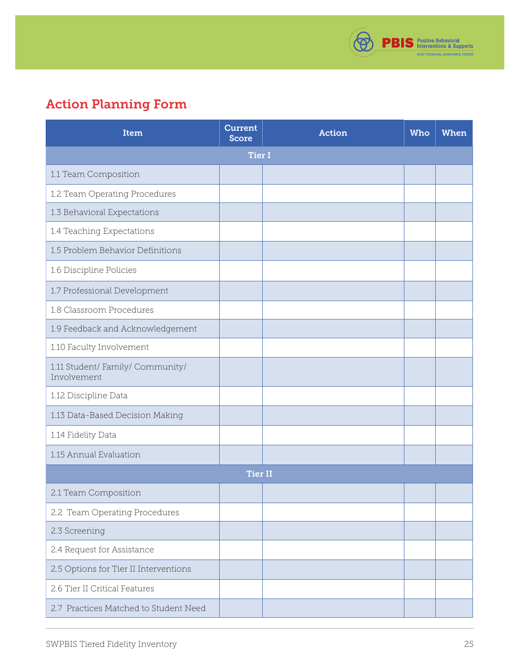

# <span id="page-24-0"></span>Action Planning Form

| <b>Item</b>                                     | <b>Current</b><br><b>Score</b> | <b>Action</b> | Who | <b>When</b> |
|-------------------------------------------------|--------------------------------|---------------|-----|-------------|
|                                                 | <b>Tier I</b>                  |               |     |             |
| 1.1 Team Composition                            |                                |               |     |             |
| 1.2 Team Operating Procedures                   |                                |               |     |             |
| 1.3 Behavioral Expectations                     |                                |               |     |             |
| 1.4 Teaching Expectations                       |                                |               |     |             |
| 1.5 Problem Behavior Definitions                |                                |               |     |             |
| 1.6 Discipline Policies                         |                                |               |     |             |
| 1.7 Professional Development                    |                                |               |     |             |
| 1.8 Classroom Procedures                        |                                |               |     |             |
| 1.9 Feedback and Acknowledgement                |                                |               |     |             |
| 1.10 Faculty Involvement                        |                                |               |     |             |
| 1.11 Student/ Family/ Community/<br>Involvement |                                |               |     |             |
| 1.12 Discipline Data                            |                                |               |     |             |
| 1.13 Data-Based Decision Making                 |                                |               |     |             |
| 1.14 Fidelity Data                              |                                |               |     |             |
| 1.15 Annual Evaluation                          |                                |               |     |             |
|                                                 | <b>Tier II</b>                 |               |     |             |
| 2.1 Team Composition                            |                                |               |     |             |
| 2.2 Team Operating Procedures                   |                                |               |     |             |
| 2.3 Screening                                   |                                |               |     |             |
| 2.4 Request for Assistance                      |                                |               |     |             |
| 2.5 Options for Tier II Interventions           |                                |               |     |             |
| 2.6 Tier II Critical Features                   |                                |               |     |             |
| 2.7 Practices Matched to Student Need           |                                |               |     |             |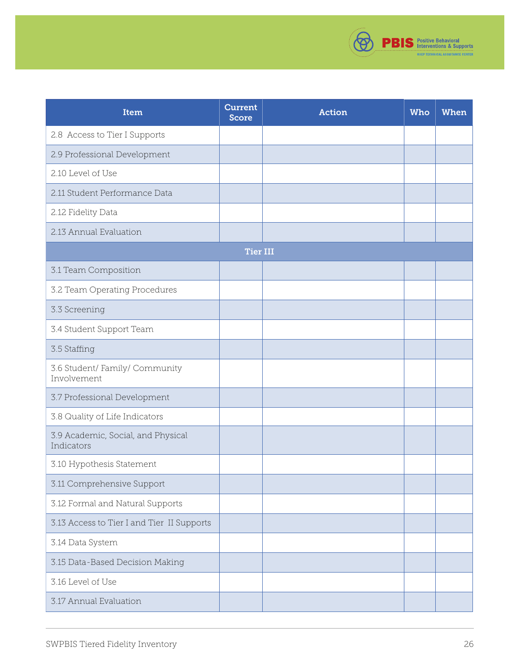

| Item                                             | <b>Current</b><br><b>Score</b> | <b>Action</b> | Who | <b>When</b> |
|--------------------------------------------------|--------------------------------|---------------|-----|-------------|
| 2.8 Access to Tier I Supports                    |                                |               |     |             |
| 2.9 Professional Development                     |                                |               |     |             |
| 2.10 Level of Use                                |                                |               |     |             |
| 2.11 Student Performance Data                    |                                |               |     |             |
| 2.12 Fidelity Data                               |                                |               |     |             |
| 2.13 Annual Evaluation                           |                                |               |     |             |
|                                                  | <b>Tier III</b>                |               |     |             |
| 3.1 Team Composition                             |                                |               |     |             |
| 3.2 Team Operating Procedures                    |                                |               |     |             |
| 3.3 Screening                                    |                                |               |     |             |
| 3.4 Student Support Team                         |                                |               |     |             |
| 3.5 Staffing                                     |                                |               |     |             |
| 3.6 Student/ Family/ Community<br>Involvement    |                                |               |     |             |
| 3.7 Professional Development                     |                                |               |     |             |
| 3.8 Quality of Life Indicators                   |                                |               |     |             |
| 3.9 Academic, Social, and Physical<br>Indicators |                                |               |     |             |
| 3.10 Hypothesis Statement                        |                                |               |     |             |
| 3.11 Comprehensive Support                       |                                |               |     |             |
| 3.12 Formal and Natural Supports                 |                                |               |     |             |
| 3.13 Access to Tier I and Tier II Supports       |                                |               |     |             |
| 3.14 Data System                                 |                                |               |     |             |
| 3.15 Data-Based Decision Making                  |                                |               |     |             |
| 3.16 Level of Use                                |                                |               |     |             |
| 3.17 Annual Evaluation                           |                                |               |     |             |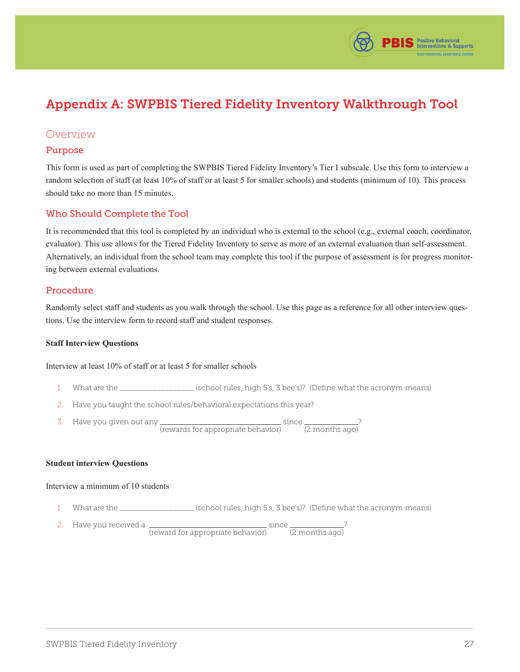

# <span id="page-26-0"></span>Appendix A: SWPBIS Tiered Fidelity Inventory Walkthrough Tool

### Overview

#### Purpose

This form is used as part of completing the SWPBIS Tiered Fidelity Inventory's Tier I subscale. Use this form to interview a random selection of staff (at least 10% of staff or at least 5 for smaller schools) and students (minimum of 10). This process should take no more than 15 minutes.

#### Who Should Complete the Tool

It is recommended that this tool is completed by an individual who is external to the school (e.g., external coach, coordinator, evaluator). This use allows for the Tiered Fidelity Inventory to serve as more of an external evaluation than self-assessment. Alternatively, an individual from the school team may complete this tool if the purpose of assessment is for progress monitoring between external evaluations.

#### Procedure

Randomly select staff and students as you walk through the school. Use this page as a reference for all other interview questions. Use the interview form to record staff and student responses.

#### **Staff Interview Questions**

#### Interview at least 10% of staff or at least 5 for smaller schools

- 1. What are the \_\_\_\_\_\_\_\_\_\_\_\_\_\_\_\_\_\_ (school rules, high 5's, 3 bee's)? (Define what the acronym means)
- 2. Have you taught the school rules/behavioral expectations this year?
- 3. Have you given out any (rewards for appropriate behavior) since (2 months ago) ?

#### **Student interview Questions**

#### Interview a minimum of 10 students

- 1. What are the \_\_\_\_\_\_\_\_\_\_\_\_\_\_\_\_\_\_ (school rules, high 5's, 3 bee's)? (Define what the acronym means)
- 2. Have you received a (reward for appropriate behavior) since (2 months ago) ?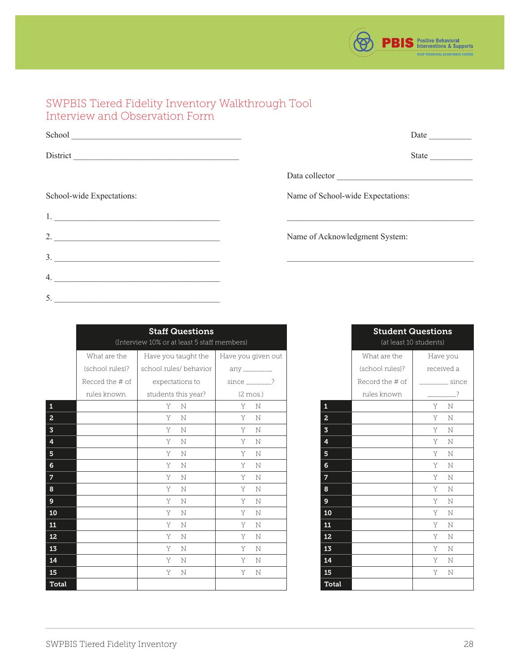

### <span id="page-27-0"></span>SWPBIS Tiered Fidelity Inventory Walkthrough Tool Interview and Observation Form

| School                      | Date $\qquad \qquad$              |
|-----------------------------|-----------------------------------|
|                             | State                             |
|                             | Data collector                    |
| School-wide Expectations:   | Name of School-wide Expectations: |
|                             |                                   |
| 2. $\overline{\phantom{a}}$ | Name of Acknowledgment System:    |
| $\overline{\mathbf{3}}$ .   |                                   |
| 4.                          |                                   |
|                             |                                   |

|                         | <b>Staff Questions</b><br>(Interview 10% or at least 5 staff members) |                        |                       |                         | <b>Student Questions</b> | (at least 10 students) |
|-------------------------|-----------------------------------------------------------------------|------------------------|-----------------------|-------------------------|--------------------------|------------------------|
|                         | What are the                                                          | Have you taught the    | Have you given out    |                         | What are the             | Have yo                |
|                         | (school rules)?                                                       | school rules/ behavior | $any$ ________        |                         | (school rules)?          | received               |
|                         | Record the # of                                                       | expectations to        | since $\frac{2}{1}$ ? |                         | Record the # of          | - S                    |
|                         | rules known.                                                          | students this year?    | $(2 \text{mos.})$     |                         | rules known              |                        |
| $\pmb{1}$               |                                                                       | Y<br>N                 | Y<br>N                | $\mathbf 1$             |                          | Y<br>$\mathbb N$       |
| $\overline{a}$          |                                                                       | Y<br>N                 | Y<br>$\mathbb N$      | $\overline{2}$          |                          | Y.<br>N                |
| $\mathbf 3$             |                                                                       | Y<br>N                 | Y<br>$\mathbb{N}$     | $\overline{\mathbf{3}}$ |                          | Y<br>$\mathbb N$       |
| $\overline{\mathbf{4}}$ |                                                                       | Y<br>N                 | Y<br>N                | $\overline{4}$          |                          | Y<br>$\mathbb N$       |
| ${\bf 5}$               |                                                                       | Y<br>N                 | Y<br>$\mathbb N$      | 5 <sub>5</sub>          |                          | Y.<br>$\mathbb N$      |
| $\bf 6$                 |                                                                       | Y.<br>N                | Y N                   | 6                       |                          | Y.<br>$\mathbb N$      |
| $\overline{7}$          |                                                                       | Y<br>N                 | Y<br>N                | $\overline{7}$          |                          | Y<br>N                 |
| $\pmb{8}$               |                                                                       | Y<br>N                 | Y<br>N                | 8                       |                          | $\mathbb N$<br>Y.      |
| $\boldsymbol{9}$        |                                                                       | Y<br>N                 | Y<br>N                | 9 <sup>°</sup>          |                          | Y.<br>N                |
| ${\bf 10}$              |                                                                       | Y<br>N                 | Y<br>N                | 10                      |                          | Y<br>$\mathbb N$       |
| ${\bf 11}$              |                                                                       | Y<br>$\mathbf N$       | Y<br>N                | 11                      |                          | $\mathbb N$<br>Y       |
| ${\bf 12}$              |                                                                       | Y<br>N                 | Y<br>N                | 12 <sub>1</sub>         |                          | Y<br>N                 |
| 13                      |                                                                       | Y<br>N                 | Y<br>N                | 13                      |                          | $\mathbb N$<br>Y.      |
| 14                      |                                                                       | Y<br>N                 | Y<br>$\mathbb N$      | 14                      |                          | Y<br>$\mathbb N$       |
| 15                      |                                                                       | Y<br>N                 | Y<br>N                | 15                      |                          | Y<br>$\mathbb N$       |
| Total                   |                                                                       |                        |                       | Total                   |                          |                        |

Student Questions (at least 10 students) What are the (school rules)? Record the # of rules known Have you received a \_\_\_\_\_\_\_\_ since  $\overline{\phantom{a}2}$ 

5. \_\_\_\_\_\_\_\_\_\_\_\_\_\_\_\_\_\_\_\_\_\_\_\_\_\_\_\_\_\_\_\_\_\_\_\_\_\_\_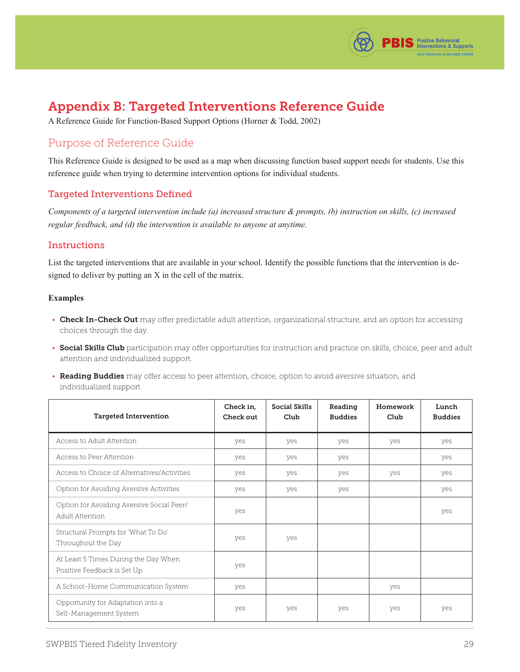

## <span id="page-28-0"></span>Appendix B: Targeted Interventions Reference Guide

A Reference Guide for Function-Based Support Options (Horner & Todd, 2002)

### Purpose of Reference Guide

This Reference Guide is designed to be used as a map when discussing function based support needs for students. Use this reference guide when trying to determine intervention options for individual students.

#### Targeted Interventions Defined

*Components of a targeted intervention include (a) increased structure & prompts, (b) instruction on skills, (c) increased regular feedback, and (d) the intervention is available to anyone at anytime.* 

#### **Instructions**

List the targeted interventions that are available in your school. Identify the possible functions that the intervention is designed to deliver by putting an X in the cell of the matrix.

#### **Examples**

- Check In-Check Out may offer predictable adult attention, organizational structure, and an option for accessing choices through the day.
- Social Skills Club participation may offer opportunities for instruction and practice on skills, choice, peer and adult attention and individualized support.
- Reading Buddies may offer access to peer attention, choice, option to avoid aversive situation, and individualized support.

| <b>Targeted Intervention</b>                                        | Check in,<br>Check out | <b>Social Skills</b><br>Club | Reading<br><b>Buddies</b> | Homework<br>Club | Lunch<br><b>Buddies</b> |  |
|---------------------------------------------------------------------|------------------------|------------------------------|---------------------------|------------------|-------------------------|--|
| Access to Adult Attention                                           | yes                    | yes                          | yes                       | yes              | yes                     |  |
| Access to Peer Attention                                            | yes                    | yes                          | yes                       |                  | yes                     |  |
| Access to Choice of Alternatives/Activities                         | yes                    | yes                          | yes                       | yes              | yes                     |  |
| Option for Avoiding Aversive Activities                             | yes                    | yes                          | yes                       |                  | yes                     |  |
| Option for Avoiding Aversive Social Peer/<br>Adult Attention        | yes                    |                              |                           |                  | yes                     |  |
| Structural Prompts for 'What To Do'<br>Throughout the Day           | yes                    | yes                          |                           |                  |                         |  |
| At Least 5 Times During the Day When<br>Positive Feedback is Set Up | ves                    |                              |                           |                  |                         |  |
| A School-Home Communication System                                  | yes                    |                              |                           | yes              |                         |  |
| Opportunity for Adaptation into a<br>Self-Management System         | yes                    | yes                          | yes                       | yes              | yes                     |  |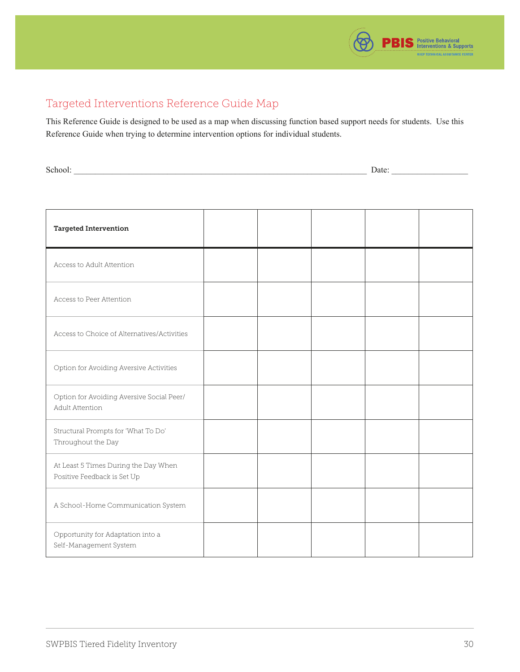

### <span id="page-29-0"></span>Targeted Interventions Reference Guide Map

This Reference Guide is designed to be used as a map when discussing function based support needs for students. Use this Reference Guide when trying to determine intervention options for individual students.

School: \_\_\_\_\_\_\_\_\_\_\_\_\_\_\_\_\_\_\_\_\_\_\_\_\_\_\_\_\_\_\_\_\_\_\_\_\_\_\_\_\_\_\_\_\_\_\_\_\_\_\_\_\_\_\_\_\_\_\_\_\_\_\_\_\_\_\_\_\_ Date: \_\_\_\_\_\_\_\_\_\_\_\_\_\_\_\_\_\_

| <b>Targeted Intervention</b>                                        |  |  |  |
|---------------------------------------------------------------------|--|--|--|
| Access to Adult Attention                                           |  |  |  |
| Access to Peer Attention                                            |  |  |  |
| Access to Choice of Alternatives/Activities                         |  |  |  |
| Option for Avoiding Aversive Activities                             |  |  |  |
| Option for Avoiding Aversive Social Peer/<br>Adult Attention        |  |  |  |
| Structural Prompts for 'What To Do'<br>Throughout the Day           |  |  |  |
| At Least 5 Times During the Day When<br>Positive Feedback is Set Up |  |  |  |
| A School-Home Communication System                                  |  |  |  |
| Opportunity for Adaptation into a<br>Self-Management System         |  |  |  |